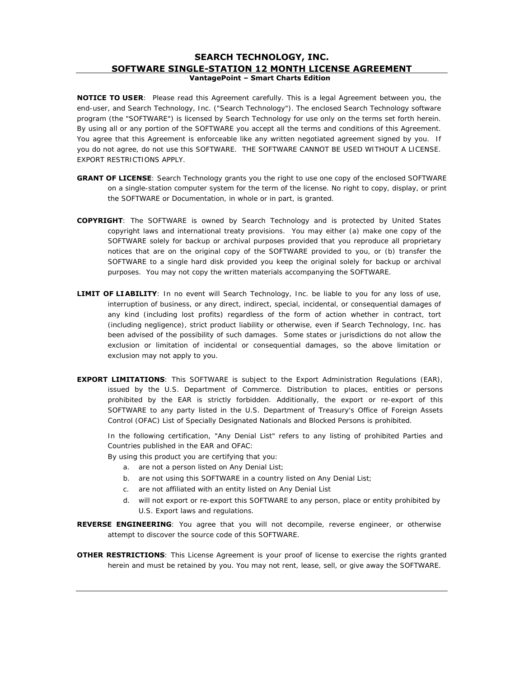## **SEARCH TECHNOLOGY, INC. SOFTWARE SINGLE-STATION 12 MONTH LICENSE AGREEMENT VantagePoint – Smart Charts Edition**

**NOTICE TO USER**: Please read this Agreement carefully. This is a legal Agreement between you, the end-user, and Search Technology, Inc. ("Search Technology"). The enclosed Search Technology software program (the "SOFTWARE") is licensed by Search Technology for use only on the terms set forth herein. By using all or any portion of the SOFTWARE you accept all the terms and conditions of this Agreement. You agree that this Agreement is enforceable like any written negotiated agreement signed by you. If you do not agree, do not use this SOFTWARE. THE SOFTWARE CANNOT BE USED WITHOUT A LICENSE. EXPORT RESTRICTIONS APPLY.

- **GRANT OF LICENSE**: Search Technology grants you the right to use one copy of the enclosed SOFTWARE on a single-station computer system for the term of the license. No right to copy, display, or print the SOFTWARE or Documentation, in whole or in part, is granted.
- **COPYRIGHT**: The SOFTWARE is owned by Search Technology and is protected by United States copyright laws and international treaty provisions. You may either (a) make one copy of the SOFTWARE solely for backup or archival purposes provided that you reproduce all proprietary notices that are on the original copy of the SOFTWARE provided to you, or (b) transfer the SOFTWARE to a single hard disk provided you keep the original solely for backup or archival purposes. You may not copy the written materials accompanying the SOFTWARE.
- LIMIT OF LIABILITY: In no event will Search Technology, Inc. be liable to you for any loss of use, interruption of business, or any direct, indirect, special, incidental, or consequential damages of any kind (including lost profits) regardless of the form of action whether in contract, tort (including negligence), strict product liability or otherwise, even if Search Technology, Inc. has been advised of the possibility of such damages. Some states or jurisdictions do not allow the exclusion or limitation of incidental or consequential damages, so the above limitation or exclusion may not apply to you.
- **EXPORT LIMITATIONS:** This SOFTWARE is subject to the Export Administration Regulations (EAR), issued by the U.S. Department of Commerce. Distribution to places, entities or persons prohibited by the EAR is strictly forbidden. Additionally, the export or re-export of this SOFTWARE to any party listed in the U.S. Department of Treasury's Office of Foreign Assets Control (OFAC) List of Specially Designated Nationals and Blocked Persons is prohibited.

In the following certification, "Any Denial List" refers to any listing of prohibited Parties and Countries published in the EAR and OFAC:

By using this product you are certifying that you:

- a. are not a person listed on Any Denial List;
- b. are not using this SOFTWARE in a country listed on Any Denial List;
- c. are not affiliated with an entity listed on Any Denial List
- d. will not export or re-export this SOFTWARE to any person, place or entity prohibited by U.S. Export laws and regulations.
- REVERSE ENGINEERING: You agree that you will not decompile, reverse engineer, or otherwise attempt to discover the source code of this SOFTWARE.
- **OTHER RESTRICTIONS:** This License Agreement is your proof of license to exercise the rights granted herein and must be retained by you. You may not rent, lease, sell, or give away the SOFTWARE.